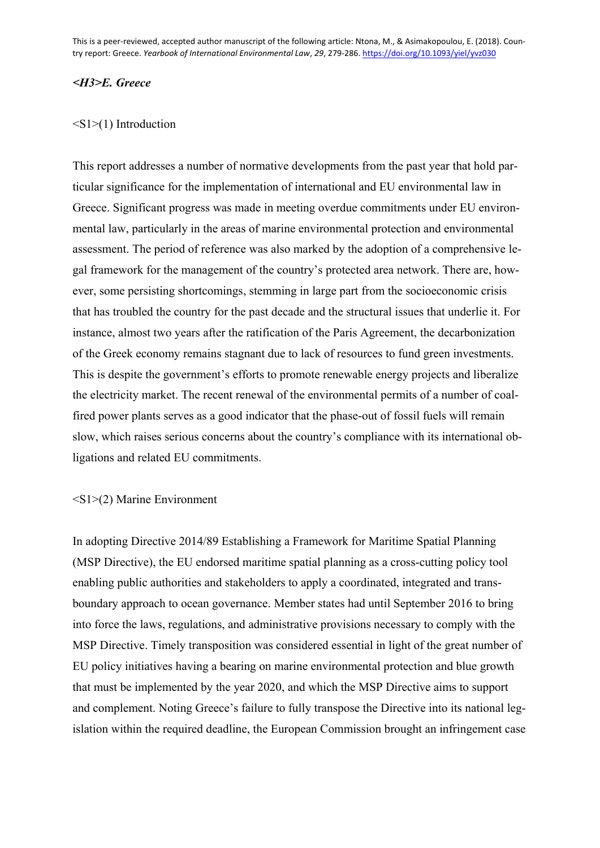# *<H3>E. Greece*

## $\langle S1 \rangle$ (1) Introduction

This report addresses a number of normative developments from the past year that hold particular significance for the implementation of international and EU environmental law in Greece. Significant progress was made in meeting overdue commitments under EU environmental law, particularly in the areas of marine environmental protection and environmental assessment. The period of reference was also marked by the adoption of a comprehensive legal framework for the management of the country's protected area network. There are, however, some persisting shortcomings, stemming in large part from the socioeconomic crisis that has troubled the country for the past decade and the structural issues that underlie it. For instance, almost two years after the ratification of the Paris Agreement, the decarbonization of the Greek economy remains stagnant due to lack of resources to fund green investments. This is despite the government's efforts to promote renewable energy projects and liberalize the electricity market. The recent renewal of the environmental permits of a number of coalfired power plants serves as a good indicator that the phase-out of fossil fuels will remain slow, which raises serious concerns about the country's compliance with its international obligations and related EU commitments.

## <S1>(2) Marine Environment

In adopting Directive 2014/89 Establishing a Framework for Maritime Spatial Planning (MSP Directive), the EU endorsed maritime spatial planning as a cross-cutting policy tool enabling public authorities and stakeholders to apply a coordinated, integrated and transboundary approach to ocean governance. Member states had until September 2016 to bring into force the laws, regulations, and administrative provisions necessary to comply with the MSP Directive. Timely transposition was considered essential in light of the great number of EU policy initiatives having a bearing on marine environmental protection and blue growth that must be implemented by the year 2020, and which the MSP Directive aims to support and complement. Noting Greece's failure to fully transpose the Directive into its national legislation within the required deadline, the European Commission brought an infringement case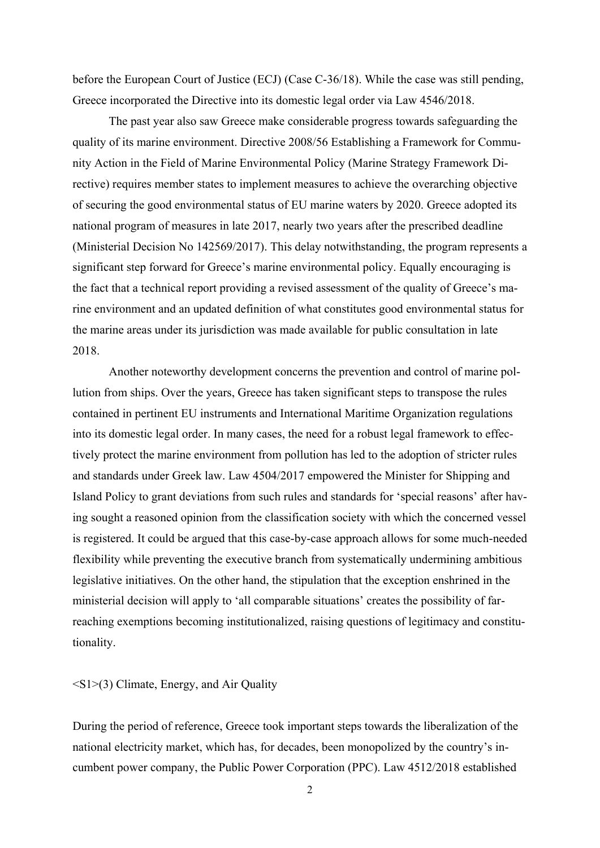before the European Court of Justice (ECJ) (Case C-36/18). While the case was still pending, Greece incorporated the Directive into its domestic legal order via Law 4546/2018.

The past year also saw Greece make considerable progress towards safeguarding the quality of its marine environment. Directive 2008/56 Establishing a Framework for Community Action in the Field of Marine Environmental Policy (Marine Strategy Framework Directive) requires member states to implement measures to achieve the overarching objective of securing the good environmental status of EU marine waters by 2020. Greece adopted its national program of measures in late 2017, nearly two years after the prescribed deadline (Ministerial Decision No 142569/2017). This delay notwithstanding, the program represents a significant step forward for Greece's marine environmental policy. Equally encouraging is the fact that a technical report providing a revised assessment of the quality of Greece's marine environment and an updated definition of what constitutes good environmental status for the marine areas under its jurisdiction was made available for public consultation in late 2018.

Another noteworthy development concerns the prevention and control of marine pollution from ships. Over the years, Greece has taken significant steps to transpose the rules contained in pertinent EU instruments and International Maritime Organization regulations into its domestic legal order. In many cases, the need for a robust legal framework to effectively protect the marine environment from pollution has led to the adoption of stricter rules and standards under Greek law. Law 4504/2017 empowered the Minister for Shipping and Island Policy to grant deviations from such rules and standards for 'special reasons' after having sought a reasoned opinion from the classification society with which the concerned vessel is registered. It could be argued that this case-by-case approach allows for some much-needed flexibility while preventing the executive branch from systematically undermining ambitious legislative initiatives. On the other hand, the stipulation that the exception enshrined in the ministerial decision will apply to 'all comparable situations' creates the possibility of farreaching exemptions becoming institutionalized, raising questions of legitimacy and constitutionality.

 $\langle$ S1 $\rangle$ (3) Climate, Energy, and Air Quality

During the period of reference, Greece took important steps towards the liberalization of the national electricity market, which has, for decades, been monopolized by the country's incumbent power company, the Public Power Corporation (PPC). Law 4512/2018 established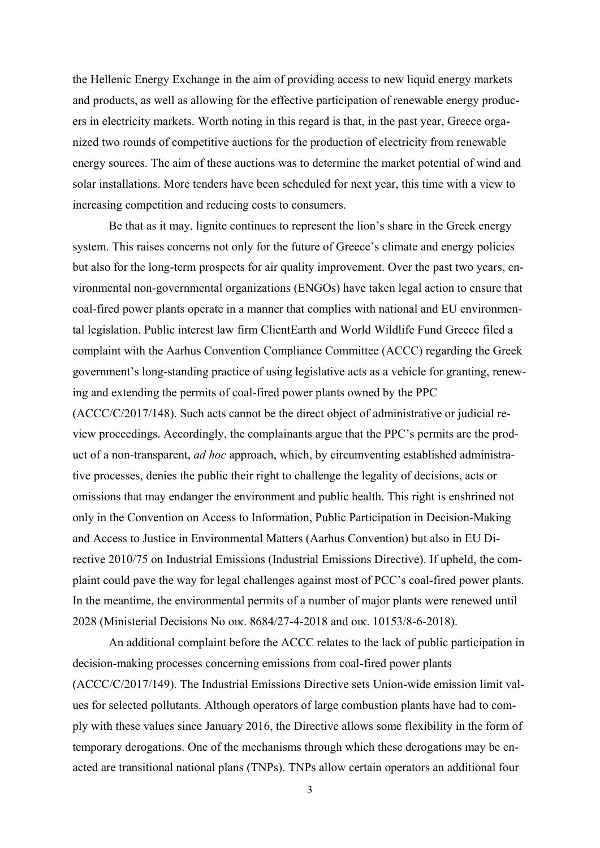the Hellenic Energy Exchange in the aim of providing access to new liquid energy markets and products, as well as allowing for the effective participation of renewable energy producers in electricity markets. Worth noting in this regard is that, in the past year, Greece organized two rounds of competitive auctions for the production of electricity from renewable energy sources. The aim of these auctions was to determine the market potential of wind and solar installations. More tenders have been scheduled for next year, this time with a view to increasing competition and reducing costs to consumers.

Be that as it may, lignite continues to represent the lion's share in the Greek energy system. This raises concerns not only for the future of Greece's climate and energy policies but also for the long-term prospects for air quality improvement. Over the past two years, environmental non-governmental organizations (ENGOs) have taken legal action to ensure that coal-fired power plants operate in a manner that complies with national and EU environmental legislation. Public interest law firm ClientEarth and World Wildlife Fund Greece filed a complaint with the Aarhus Convention Compliance Committee (ACCC) regarding the Greek government's long-standing practice of using legislative acts as a vehicle for granting, renewing and extending the permits of coal-fired power plants owned by the PPC (ACCC/C/2017/148). Such acts cannot be the direct object of administrative or judicial review proceedings. Accordingly, the complainants argue that the PPC's permits are the product of a non-transparent, *ad hoc* approach, which, by circumventing established administrative processes, denies the public their right to challenge the legality of decisions, acts or omissions that may endanger the environment and public health. This right is enshrined not only in the Convention on Access to Information, Public Participation in Decision-Making and Access to Justice in Environmental Matters (Aarhus Convention) but also in EU Directive 2010/75 on Industrial Emissions (Industrial Emissions Directive). If upheld, the complaint could pave the way for legal challenges against most of PCC's coal-fired power plants. In the meantime, the environmental permits of a number of major plants were renewed until 2028 (Ministerial Decisions No οικ. 8684/27-4-2018 and οικ. 10153/8-6-2018).

An additional complaint before the ACCC relates to the lack of public participation in decision-making processes concerning emissions from coal-fired power plants (ACCC/C/2017/149). The Industrial Emissions Directive sets Union-wide emission limit values for selected pollutants. Although operators of large combustion plants have had to comply with these values since January 2016, the Directive allows some flexibility in the form of temporary derogations. One of the mechanisms through which these derogations may be enacted are transitional national plans (TNPs). TNPs allow certain operators an additional four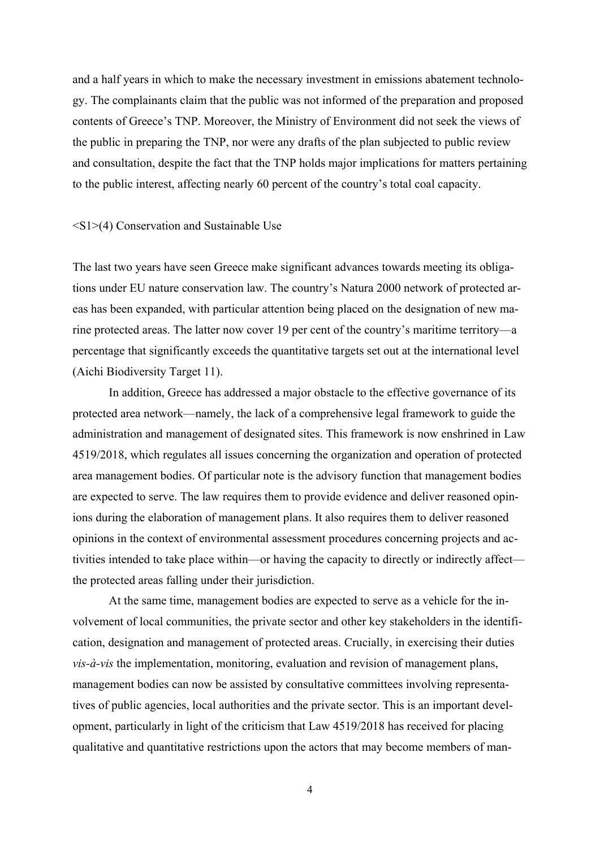and a half years in which to make the necessary investment in emissions abatement technology. The complainants claim that the public was not informed of the preparation and proposed contents of Greece's TNP. Moreover, the Ministry of Environment did not seek the views of the public in preparing the TNP, nor were any drafts of the plan subjected to public review and consultation, despite the fact that the TNP holds major implications for matters pertaining to the public interest, affecting nearly 60 percent of the country's total coal capacity.

#### <S1>(4) Conservation and Sustainable Use

The last two years have seen Greece make significant advances towards meeting its obligations under EU nature conservation law. The country's Natura 2000 network of protected areas has been expanded, with particular attention being placed on the designation of new marine protected areas. The latter now cover 19 per cent of the country's maritime territory—a percentage that significantly exceeds the quantitative targets set out at the international level (Aichi Biodiversity Target 11).

In addition, Greece has addressed a major obstacle to the effective governance of its protected area network—namely, the lack of a comprehensive legal framework to guide the administration and management of designated sites. This framework is now enshrined in Law 4519/2018, which regulates all issues concerning the organization and operation of protected area management bodies. Of particular note is the advisory function that management bodies are expected to serve. The law requires them to provide evidence and deliver reasoned opinions during the elaboration of management plans. It also requires them to deliver reasoned opinions in the context of environmental assessment procedures concerning projects and activities intended to take place within—or having the capacity to directly or indirectly affect the protected areas falling under their jurisdiction.

At the same time, management bodies are expected to serve as a vehicle for the involvement of local communities, the private sector and other key stakeholders in the identification, designation and management of protected areas. Crucially, in exercising their duties *vis-à-vis* the implementation, monitoring, evaluation and revision of management plans, management bodies can now be assisted by consultative committees involving representatives of public agencies, local authorities and the private sector. This is an important development, particularly in light of the criticism that Law 4519/2018 has received for placing qualitative and quantitative restrictions upon the actors that may become members of man-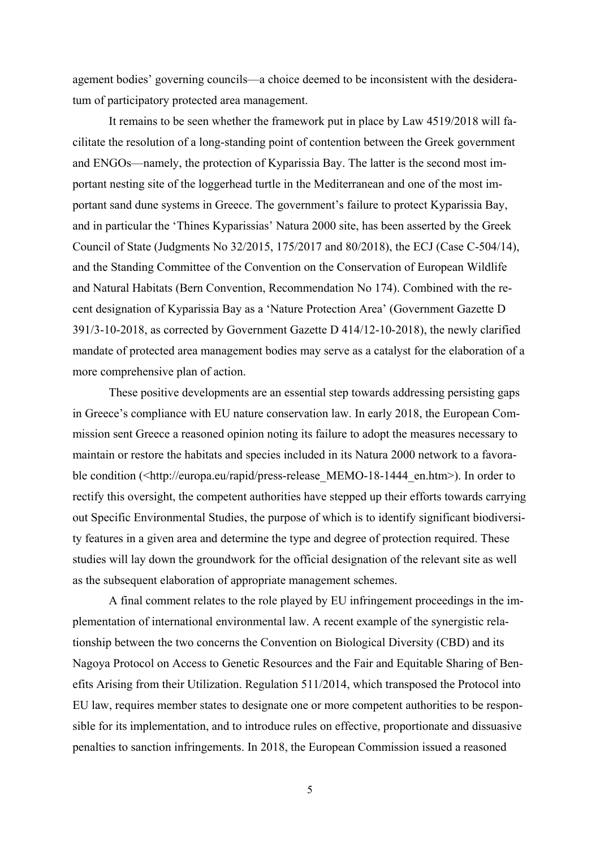agement bodies' governing councils—a choice deemed to be inconsistent with the desideratum of participatory protected area management.

It remains to be seen whether the framework put in place by Law 4519/2018 will facilitate the resolution of a long-standing point of contention between the Greek government and ENGOs—namely, the protection of Kyparissia Bay. The latter is the second most important nesting site of the loggerhead turtle in the Mediterranean and one of the most important sand dune systems in Greece. The government's failure to protect Kyparissia Bay, and in particular the 'Thines Kyparissias' Natura 2000 site, has been asserted by the Greek Council of State (Judgments No 32/2015, 175/2017 and 80/2018), the ECJ (Case C-504/14), and the Standing Committee of the Convention on the Conservation of European Wildlife and Natural Habitats (Bern Convention, Recommendation No 174). Combined with the recent designation of Kyparissia Bay as a 'Nature Protection Area' (Government Gazette D 391/3-10-2018, as corrected by Government Gazette D 414/12-10-2018), the newly clarified mandate of protected area management bodies may serve as a catalyst for the elaboration of a more comprehensive plan of action.

These positive developments are an essential step towards addressing persisting gaps in Greece's compliance with EU nature conservation law. In early 2018, the European Commission sent Greece a reasoned opinion noting its failure to adopt the measures necessary to maintain or restore the habitats and species included in its Natura 2000 network to a favorable condition (<http://europa.eu/rapid/press-release MEMO-18-1444 en.htm>). In order to rectify this oversight, the competent authorities have stepped up their efforts towards carrying out Specific Environmental Studies, the purpose of which is to identify significant biodiversity features in a given area and determine the type and degree of protection required. These studies will lay down the groundwork for the official designation of the relevant site as well as the subsequent elaboration of appropriate management schemes.

A final comment relates to the role played by EU infringement proceedings in the implementation of international environmental law. A recent example of the synergistic relationship between the two concerns the Convention on Biological Diversity (CBD) and its Nagoya Protocol on Access to Genetic Resources and the Fair and Equitable Sharing of Benefits Arising from their Utilization. Regulation 511/2014, which transposed the Protocol into EU law, requires member states to designate one or more competent authorities to be responsible for its implementation, and to introduce rules on effective, proportionate and dissuasive penalties to sanction infringements. In 2018, the European Commission issued a reasoned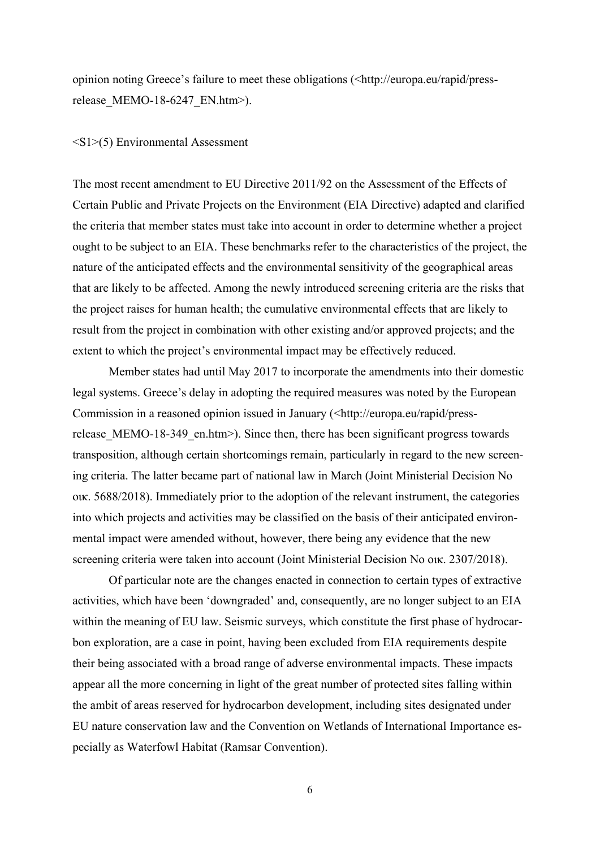opinion noting Greece's failure to meet these obligations (<http://europa.eu/rapid/pressrelease\_MEMO-18-6247\_EN.htm>).

#### <S1>(5) Environmental Assessment

The most recent amendment to EU Directive 2011/92 on the Assessment of the Effects of Certain Public and Private Projects on the Environment (EIA Directive) adapted and clarified the criteria that member states must take into account in order to determine whether a project ought to be subject to an EIA. These benchmarks refer to the characteristics of the project, the nature of the anticipated effects and the environmental sensitivity of the geographical areas that are likely to be affected. Among the newly introduced screening criteria are the risks that the project raises for human health; the cumulative environmental effects that are likely to result from the project in combination with other existing and/or approved projects; and the extent to which the project's environmental impact may be effectively reduced.

Member states had until May 2017 to incorporate the amendments into their domestic legal systems. Greece's delay in adopting the required measures was noted by the European Commission in a reasoned opinion issued in January (<http://europa.eu/rapid/pressrelease MEMO-18-349 en.htm>). Since then, there has been significant progress towards transposition, although certain shortcomings remain, particularly in regard to the new screening criteria. The latter became part of national law in March (Joint Ministerial Decision No οικ. 5688/2018). Immediately prior to the adoption of the relevant instrument, the categories into which projects and activities may be classified on the basis of their anticipated environmental impact were amended without, however, there being any evidence that the new screening criteria were taken into account (Joint Ministerial Decision No οικ. 2307/2018).

Of particular note are the changes enacted in connection to certain types of extractive activities, which have been 'downgraded' and, consequently, are no longer subject to an EIA within the meaning of EU law. Seismic surveys, which constitute the first phase of hydrocarbon exploration, are a case in point, having been excluded from EIA requirements despite their being associated with a broad range of adverse environmental impacts. These impacts appear all the more concerning in light of the great number of protected sites falling within the ambit of areas reserved for hydrocarbon development, including sites designated under EU nature conservation law and the Convention on Wetlands of International Importance especially as Waterfowl Habitat (Ramsar Convention).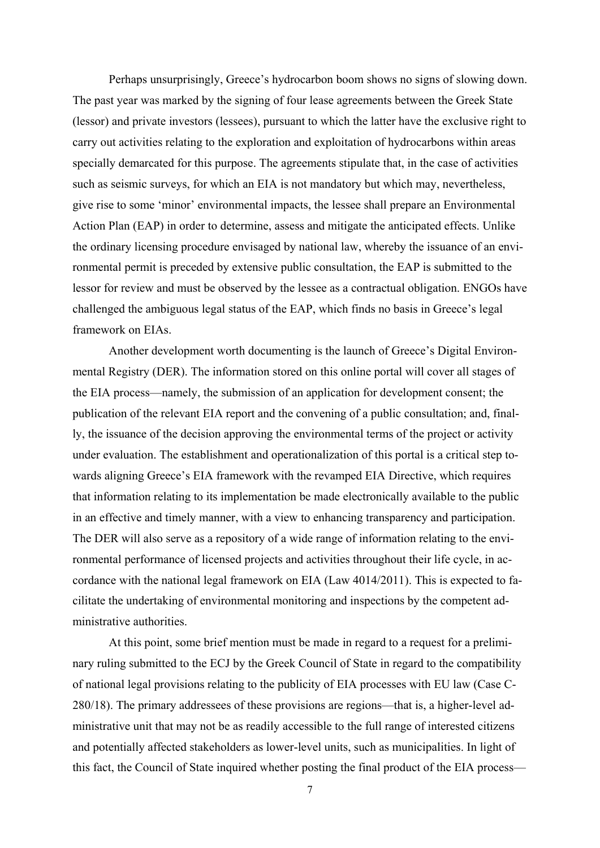Perhaps unsurprisingly, Greece's hydrocarbon boom shows no signs of slowing down. The past year was marked by the signing of four lease agreements between the Greek State (lessor) and private investors (lessees), pursuant to which the latter have the exclusive right to carry out activities relating to the exploration and exploitation of hydrocarbons within areas specially demarcated for this purpose. The agreements stipulate that, in the case of activities such as seismic surveys, for which an EIA is not mandatory but which may, nevertheless, give rise to some 'minor' environmental impacts, the lessee shall prepare an Environmental Action Plan (EAP) in order to determine, assess and mitigate the anticipated effects. Unlike the ordinary licensing procedure envisaged by national law, whereby the issuance of an environmental permit is preceded by extensive public consultation, the EAP is submitted to the lessor for review and must be observed by the lessee as a contractual obligation. ENGOs have challenged the ambiguous legal status of the EAP, which finds no basis in Greece's legal framework on EIAs.

Another development worth documenting is the launch of Greece's Digital Environmental Registry (DER). The information stored on this online portal will cover all stages of the EIA process—namely, the submission of an application for development consent; the publication of the relevant EIA report and the convening of a public consultation; and, finally, the issuance of the decision approving the environmental terms of the project or activity under evaluation. The establishment and operationalization of this portal is a critical step towards aligning Greece's EIA framework with the revamped EIA Directive, which requires that information relating to its implementation be made electronically available to the public in an effective and timely manner, with a view to enhancing transparency and participation. The DER will also serve as a repository of a wide range of information relating to the environmental performance of licensed projects and activities throughout their life cycle, in accordance with the national legal framework on EIA (Law 4014/2011). This is expected to facilitate the undertaking of environmental monitoring and inspections by the competent administrative authorities.

At this point, some brief mention must be made in regard to a request for a preliminary ruling submitted to the ECJ by the Greek Council of State in regard to the compatibility of national legal provisions relating to the publicity of EIA processes with EU law (Case C-280/18). The primary addressees of these provisions are regions—that is, a higher-level administrative unit that may not be as readily accessible to the full range of interested citizens and potentially affected stakeholders as lower-level units, such as municipalities. In light of this fact, the Council of State inquired whether posting the final product of the EIA process—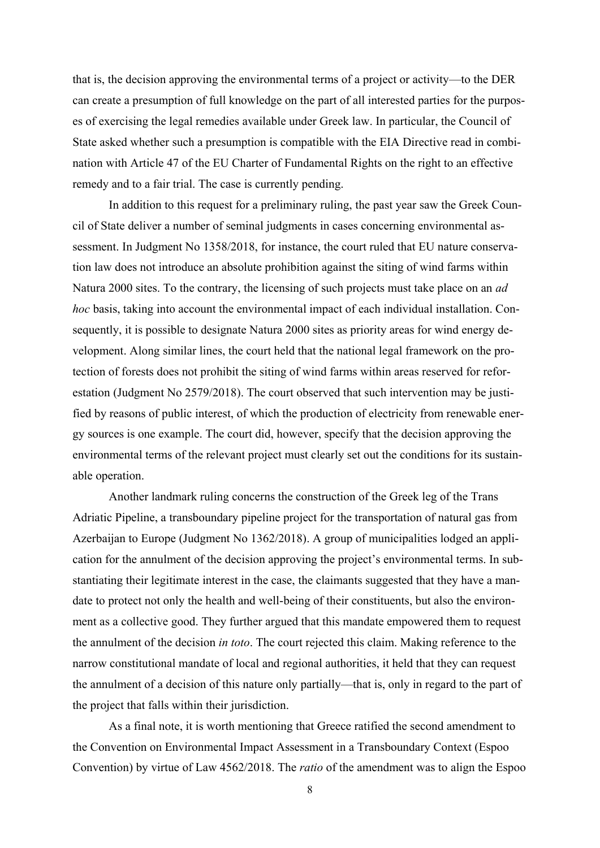that is, the decision approving the environmental terms of a project or activity—to the DER can create a presumption of full knowledge on the part of all interested parties for the purposes of exercising the legal remedies available under Greek law. In particular, the Council of State asked whether such a presumption is compatible with the EIA Directive read in combination with Article 47 of the EU Charter of Fundamental Rights on the right to an effective remedy and to a fair trial. The case is currently pending.

In addition to this request for a preliminary ruling, the past year saw the Greek Council of State deliver a number of seminal judgments in cases concerning environmental assessment. In Judgment No 1358/2018, for instance, the court ruled that EU nature conservation law does not introduce an absolute prohibition against the siting of wind farms within Natura 2000 sites. To the contrary, the licensing of such projects must take place on an *ad hoc* basis, taking into account the environmental impact of each individual installation. Consequently, it is possible to designate Natura 2000 sites as priority areas for wind energy development. Along similar lines, the court held that the national legal framework on the protection of forests does not prohibit the siting of wind farms within areas reserved for reforestation (Judgment No 2579/2018). The court observed that such intervention may be justified by reasons of public interest, of which the production of electricity from renewable energy sources is one example. The court did, however, specify that the decision approving the environmental terms of the relevant project must clearly set out the conditions for its sustainable operation.

Another landmark ruling concerns the construction of the Greek leg of the Trans Adriatic Pipeline, a transboundary pipeline project for the transportation of natural gas from Azerbaijan to Europe (Judgment No 1362/2018). A group of municipalities lodged an application for the annulment of the decision approving the project's environmental terms. In substantiating their legitimate interest in the case, the claimants suggested that they have a mandate to protect not only the health and well-being of their constituents, but also the environment as a collective good. They further argued that this mandate empowered them to request the annulment of the decision *in toto*. The court rejected this claim. Making reference to the narrow constitutional mandate of local and regional authorities, it held that they can request the annulment of a decision of this nature only partially—that is, only in regard to the part of the project that falls within their jurisdiction.

As a final note, it is worth mentioning that Greece ratified the second amendment to the Convention on Environmental Impact Assessment in a Transboundary Context (Espoo Convention) by virtue of Law 4562/2018. The *ratio* of the amendment was to align the Espoo